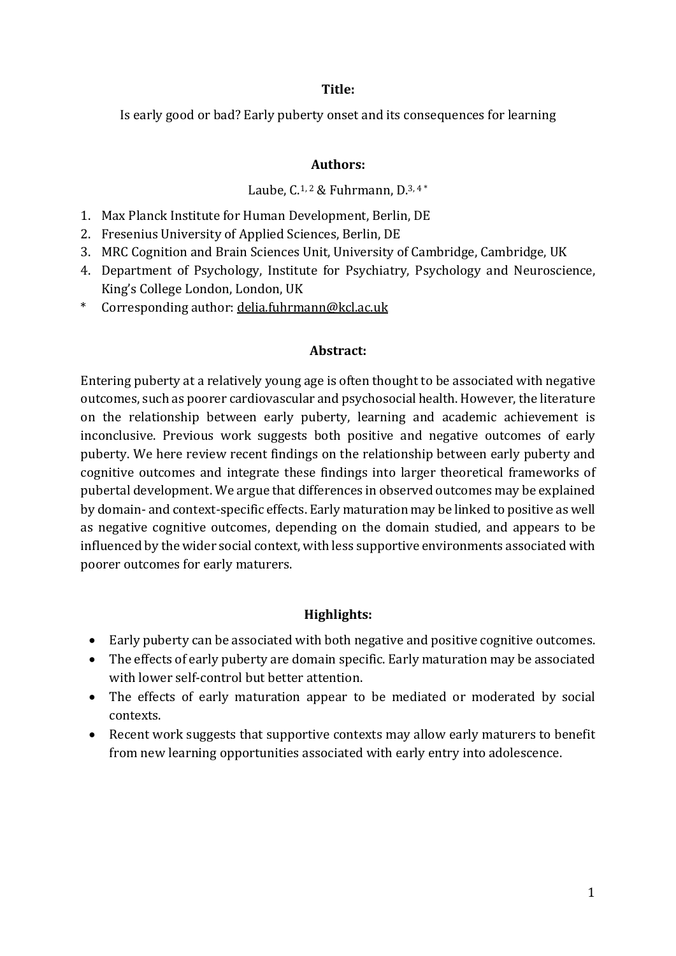#### **Title:**

Is early good or bad? Early puberty onset and its consequences for learning

### **Authors:**

### Laube,  $C^{1, 2}$  & Fuhrmann,  $D^{3, 4*}$

- 1. Max Planck Institute for Human Development, Berlin, DE
- 2. Fresenius University of Applied Sciences, Berlin, DE
- 3. MRC Cognition and Brain Sciences Unit, University of Cambridge, Cambridge, UK
- 4. Department of Psychology, Institute for Psychiatry, Psychology and Neuroscience, King's College London, London, UK
- \* Corresponding author: delia.fuhrmann@kcl.ac.uk

### **Abstract:**

Entering puberty at a relatively young age is often thought to be associated with negative outcomes, such as poorer cardiovascular and psychosocial health. However, the literature on the relationship between early puberty, learning and academic achievement is inconclusive. Previous work suggests both positive and negative outcomes of early puberty. We here review recent findings on the relationship between early puberty and cognitive outcomes and integrate these findings into larger theoretical frameworks of pubertal development. We argue that differences in observed outcomes may be explained by domain- and context-specific effects. Early maturation may be linked to positive as well as negative cognitive outcomes, depending on the domain studied, and appears to be influenced by the wider social context, with less supportive environments associated with poorer outcomes for early maturers.

# **Highlights:**

- Early puberty can be associated with both negative and positive cognitive outcomes.
- The effects of early puberty are domain specific. Early maturation may be associated with lower self-control but better attention.
- The effects of early maturation appear to be mediated or moderated by social contexts.
- Recent work suggests that supportive contexts may allow early maturers to benefit from new learning opportunities associated with early entry into adolescence.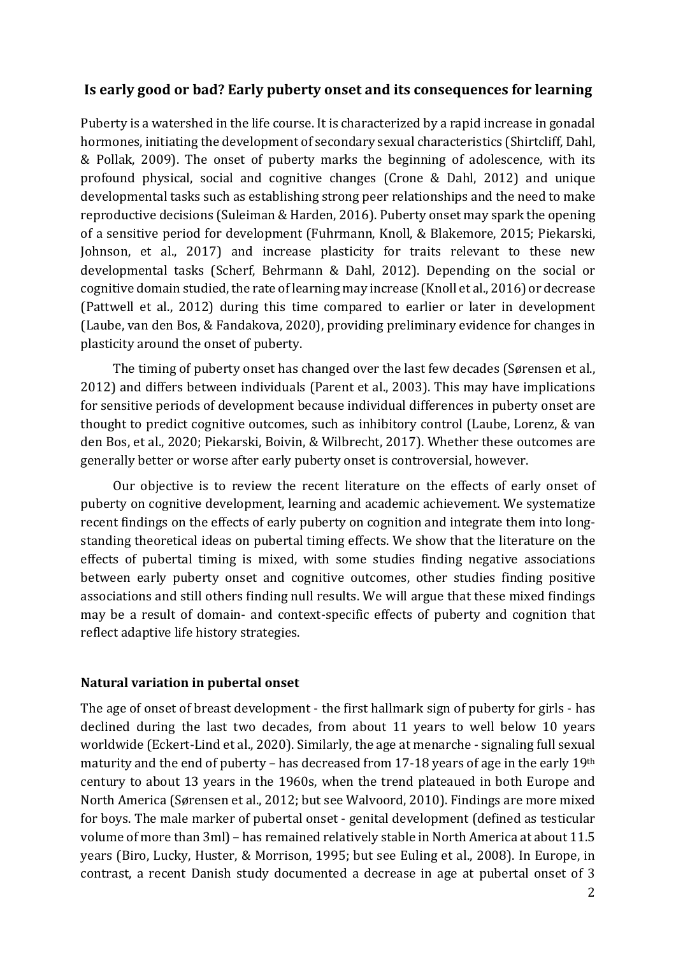# **Is early good or bad? Early puberty onset and its consequences for learning**

Puberty is a watershed in the life course. It is characterized by a rapid increase in gonadal hormones, initiating the development of secondary sexual characteristics (Shirtcliff, Dahl, & Pollak, 2009). The onset of puberty marks the beginning of adolescence, with its profound physical, social and cognitive changes (Crone  $&$  Dahl, 2012) and unique developmental tasks such as establishing strong peer relationships and the need to make reproductive decisions (Suleiman & Harden, 2016). Puberty onset may spark the opening of a sensitive period for development (Fuhrmann, Knoll, & Blakemore, 2015; Piekarski, Johnson, et al., 2017) and increase plasticity for traits relevant to these new developmental tasks (Scherf, Behrmann & Dahl, 2012). Depending on the social or cognitive domain studied, the rate of learning may increase (Knoll et al., 2016) or decrease (Pattwell et al., 2012) during this time compared to earlier or later in development (Laube, van den Bos, & Fandakova, 2020), providing preliminary evidence for changes in plasticity around the onset of puberty.

The timing of puberty onset has changed over the last few decades (Sørensen et al., 2012) and differs between individuals (Parent et al., 2003). This may have implications for sensitive periods of development because individual differences in puberty onset are thought to predict cognitive outcomes, such as inhibitory control (Laube, Lorenz, & van den Bos, et al., 2020; Piekarski, Boivin, & Wilbrecht, 2017). Whether these outcomes are generally better or worse after early puberty onset is controversial, however.

Our objective is to review the recent literature on the effects of early onset of puberty on cognitive development, learning and academic achievement. We systematize recent findings on the effects of early puberty on cognition and integrate them into longstanding theoretical ideas on pubertal timing effects. We show that the literature on the effects of pubertal timing is mixed, with some studies finding negative associations between early puberty onset and cognitive outcomes, other studies finding positive associations and still others finding null results. We will argue that these mixed findings may be a result of domain- and context-specific effects of puberty and cognition that reflect adaptive life history strategies.

### **Natural variation in pubertal onset**

The age of onset of breast development - the first hallmark sign of puberty for girls - has declined during the last two decades, from about 11 years to well below 10 years worldwide (Eckert-Lind et al., 2020). Similarly, the age at menarche - signaling full sexual maturity and the end of puberty – has decreased from 17-18 years of age in the early 19th century to about 13 years in the 1960s, when the trend plateaued in both Europe and North America (Sørensen et al., 2012; but see Walvoord, 2010). Findings are more mixed for boys. The male marker of pubertal onset - genital development (defined as testicular volume of more than 3ml) – has remained relatively stable in North America at about 11.5 years (Biro, Lucky, Huster, & Morrison, 1995; but see Euling et al., 2008). In Europe, in contrast, a recent Danish study documented a decrease in age at pubertal onset of 3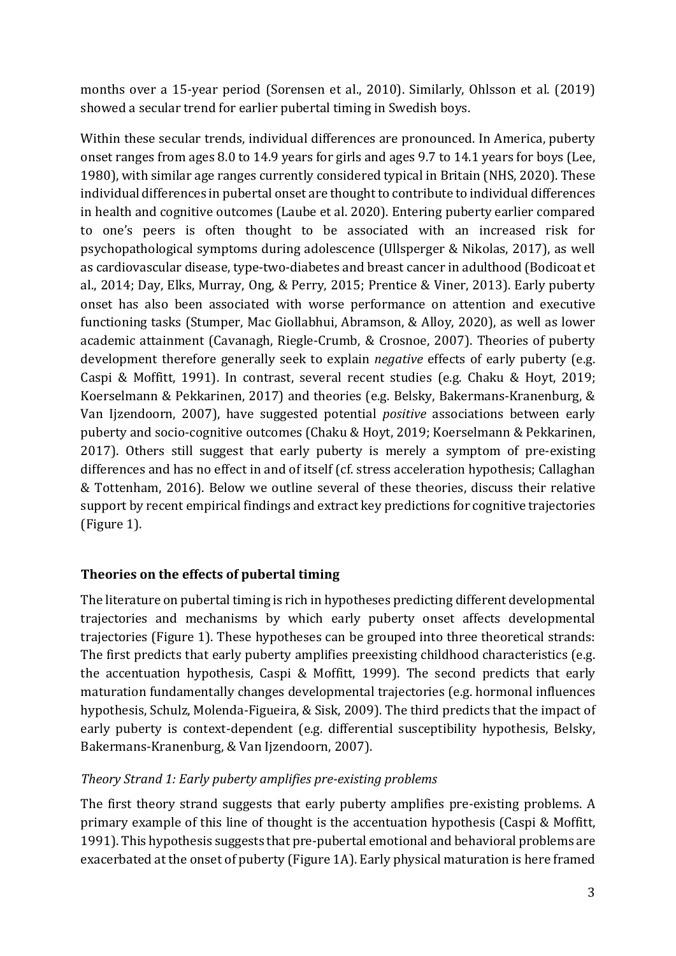months over a 15-year period (Sorensen et al., 2010). Similarly, Ohlsson et al. (2019) showed a secular trend for earlier pubertal timing in Swedish boys.

Within these secular trends, individual differences are pronounced. In America, puberty onset ranges from ages 8.0 to 14.9 years for girls and ages 9.7 to 14.1 years for boys (Lee, 1980), with similar age ranges currently considered typical in Britain (NHS, 2020). These individual differences in pubertal onset are thought to contribute to individual differences in health and cognitive outcomes (Laube et al. 2020). Entering puberty earlier compared to one's peers is often thought to be associated with an increased risk for psychopathological symptoms during adolescence (Ullsperger & Nikolas, 2017), as well as cardiovascular disease, type-two-diabetes and breast cancer in adulthood (Bodicoat et al., 2014; Day, Elks, Murray, Ong, & Perry, 2015; Prentice & Viner, 2013). Early puberty onset has also been associated with worse performance on attention and executive functioning tasks (Stumper, Mac Giollabhui, Abramson, & Alloy, 2020), as well as lower academic attainment (Cavanagh, Riegle-Crumb, & Crosnoe, 2007). Theories of puberty development therefore generally seek to explain *negative* effects of early puberty (e.g. Caspi & Moffitt, 1991). In contrast, several recent studies (e.g. Chaku & Hoyt, 2019; Koerselmann & Pekkarinen, 2017) and theories (e.g. Belsky, Bakermans-Kranenburg, & Van Ijzendoorn, 2007), have suggested potential *positive* associations between early puberty and socio-cognitive outcomes (Chaku & Hoyt, 2019; Koerselmann & Pekkarinen, 2017). Others still suggest that early puberty is merely a symptom of pre-existing differences and has no effect in and of itself (cf. stress acceleration hypothesis; Callaghan & Tottenham, 2016). Below we outline several of these theories, discuss their relative support by recent empirical findings and extract key predictions for cognitive trajectories  $(Figure 1)$ .

# **Theories on the effects of pubertal timing**

The literature on pubertal timing is rich in hypotheses predicting different developmental trajectories and mechanisms by which early puberty onset affects developmental trajectories (Figure 1). These hypotheses can be grouped into three theoretical strands: The first predicts that early puberty amplifies preexisting childhood characteristics (e.g. the accentuation hypothesis, Caspi & Moffitt, 1999). The second predicts that early maturation fundamentally changes developmental trajectories (e.g. hormonal influences hypothesis, Schulz, Molenda-Figueira, & Sisk, 2009). The third predicts that the impact of early puberty is context-dependent (e.g. differential susceptibility hypothesis, Belsky, Bakermans-Kranenburg, & Van Ijzendoorn, 2007).

# *Theory Strand 1: Early puberty amplifies pre-existing problems*

The first theory strand suggests that early puberty amplifies pre-existing problems. A primary example of this line of thought is the accentuation hypothesis (Caspi & Moffitt, 1991). This hypothesis suggests that pre-pubertal emotional and behavioral problems are exacerbated at the onset of puberty (Figure 1A). Early physical maturation is here framed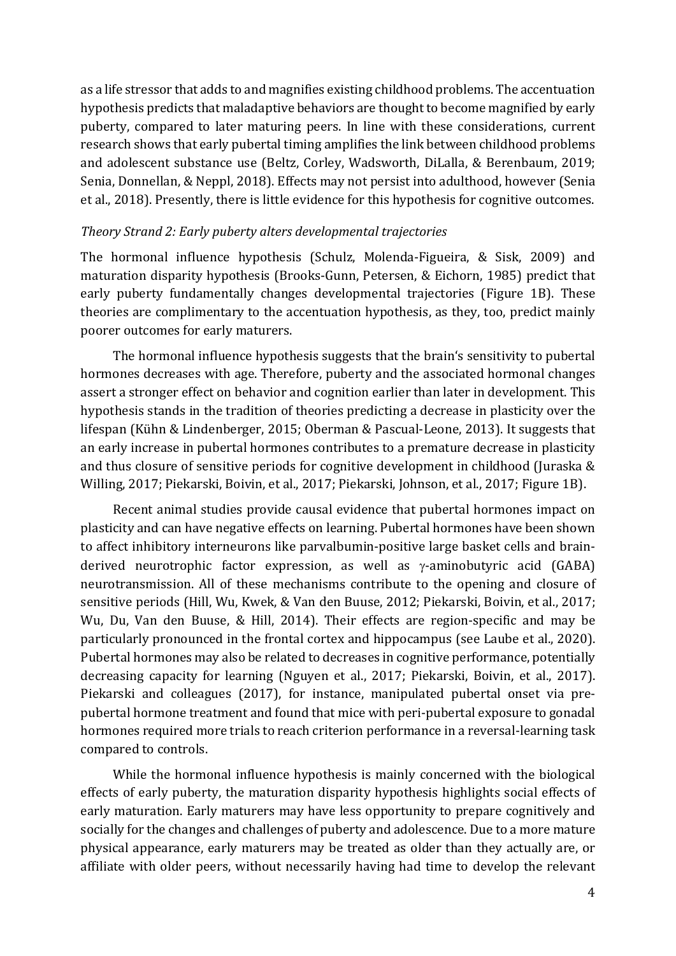as a life stressor that adds to and magnifies existing childhood problems. The accentuation hypothesis predicts that maladaptive behaviors are thought to become magnified by early puberty, compared to later maturing peers. In line with these considerations, current research shows that early pubertal timing amplifies the link between childhood problems and adolescent substance use (Beltz, Corley, Wadsworth, DiLalla, & Berenbaum, 2019; Senia, Donnellan, & Neppl, 2018). Effects may not persist into adulthood, however (Senia et al., 2018). Presently, there is little evidence for this hypothesis for cognitive outcomes.

#### *Theory Strand 2: Early puberty alters developmental trajectories*

The hormonal influence hypothesis (Schulz, Molenda-Figueira, & Sisk, 2009) and maturation disparity hypothesis (Brooks-Gunn, Petersen, & Eichorn, 1985) predict that early puberty fundamentally changes developmental trajectories (Figure 1B). These theories are complimentary to the accentuation hypothesis, as they, too, predict mainly poorer outcomes for early maturers.

The hormonal influence hypothesis suggests that the brain's sensitivity to pubertal hormones decreases with age. Therefore, puberty and the associated hormonal changes assert a stronger effect on behavior and cognition earlier than later in development. This hypothesis stands in the tradition of theories predicting a decrease in plasticity over the lifespan (Kühn & Lindenberger, 2015; Oberman & Pascual-Leone, 2013). It suggests that an early increase in pubertal hormones contributes to a premature decrease in plasticity and thus closure of sensitive periods for cognitive development in childhood (Juraska  $&$ Willing, 2017; Piekarski, Boivin, et al., 2017; Piekarski, Johnson, et al., 2017; Figure 1B).

Recent animal studies provide causal evidence that pubertal hormones impact on plasticity and can have negative effects on learning. Pubertal hormones have been shown to affect inhibitory interneurons like parvalbumin-positive large basket cells and brainderived neurotrophic factor expression, as well as  $\gamma$ -aminobutyric acid (GABA) neurotransmission. All of these mechanisms contribute to the opening and closure of sensitive periods (Hill, Wu, Kwek, & Van den Buuse, 2012; Piekarski, Boivin, et al., 2017; Wu, Du, Van den Buuse, & Hill, 2014). Their effects are region-specific and may be particularly pronounced in the frontal cortex and hippocampus (see Laube et al., 2020). Pubertal hormones may also be related to decreases in cognitive performance, potentially decreasing capacity for learning (Nguyen et al., 2017; Piekarski, Boivin, et al., 2017). Piekarski and colleagues (2017), for instance, manipulated pubertal onset via prepubertal hormone treatment and found that mice with peri-pubertal exposure to gonadal hormones required more trials to reach criterion performance in a reversal-learning task compared to controls.

While the hormonal influence hypothesis is mainly concerned with the biological effects of early puberty, the maturation disparity hypothesis highlights social effects of early maturation. Early maturers may have less opportunity to prepare cognitively and socially for the changes and challenges of puberty and adolescence. Due to a more mature physical appearance, early maturers may be treated as older than they actually are, or affiliate with older peers, without necessarily having had time to develop the relevant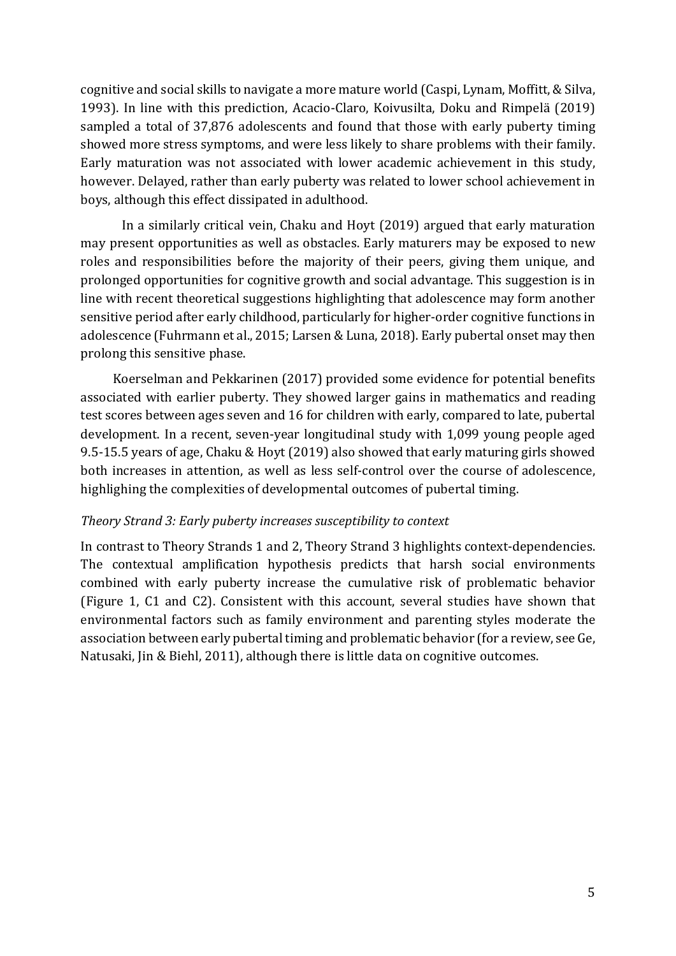cognitive and social skills to navigate a more mature world (Caspi, Lynam, Moffitt, & Silva, 1993). In line with this prediction, Acacio-Claro, Koivusilta, Doku and Rimpelä (2019) sampled a total of 37,876 adolescents and found that those with early puberty timing showed more stress symptoms, and were less likely to share problems with their family. Early maturation was not associated with lower academic achievement in this study, however. Delayed, rather than early puberty was related to lower school achievement in boys, although this effect dissipated in adulthood.

In a similarly critical vein, Chaku and Hoyt (2019) argued that early maturation may present opportunities as well as obstacles. Early maturers may be exposed to new roles and responsibilities before the majority of their peers, giving them unique, and prolonged opportunities for cognitive growth and social advantage. This suggestion is in line with recent theoretical suggestions highlighting that adolescence may form another sensitive period after early childhood, particularly for higher-order cognitive functions in adolescence (Fuhrmann et al., 2015; Larsen & Luna, 2018). Early pubertal onset may then prolong this sensitive phase.

Koerselman and Pekkarinen (2017) provided some evidence for potential benefits associated with earlier puberty. They showed larger gains in mathematics and reading test scores between ages seven and 16 for children with early, compared to late, pubertal development. In a recent, seven-year longitudinal study with 1,099 young people aged 9.5-15.5 years of age, Chaku & Hoyt (2019) also showed that early maturing girls showed both increases in attention, as well as less self-control over the course of adolescence, highlighing the complexities of developmental outcomes of pubertal timing.

#### *Theory Strand 3: Early puberty increases susceptibility to context*

In contrast to Theory Strands 1 and 2, Theory Strand 3 highlights context-dependencies. The contextual amplification hypothesis predicts that harsh social environments combined with early puberty increase the cumulative risk of problematic behavior (Figure 1, C1 and C2). Consistent with this account, several studies have shown that environmental factors such as family environment and parenting styles moderate the association between early pubertal timing and problematic behavior (for a review, see Ge, Natusaki, Jin & Biehl, 2011), although there is little data on cognitive outcomes.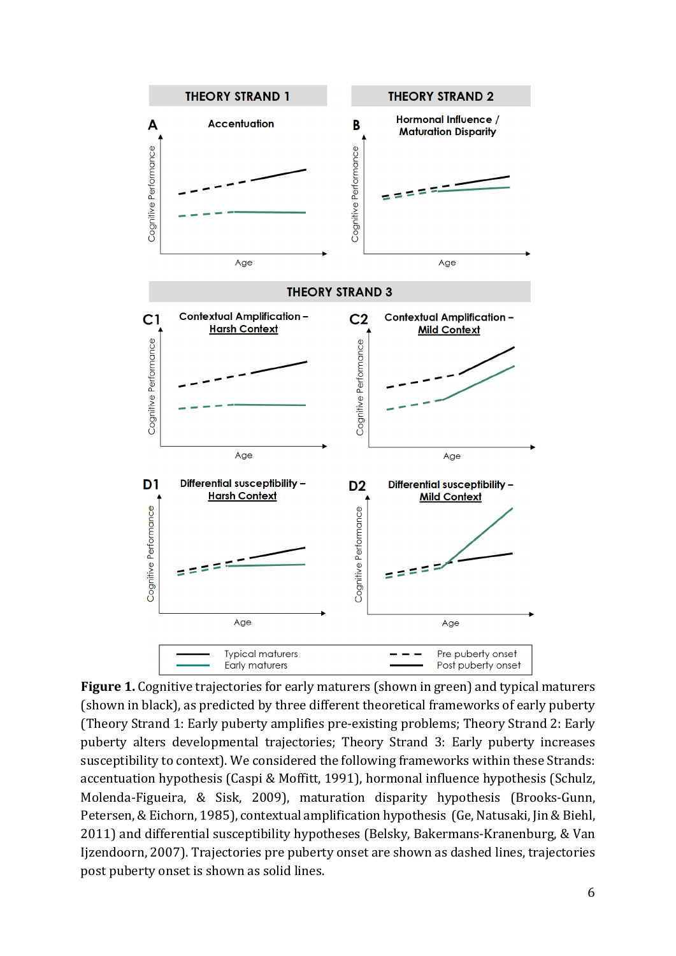

**Figure 1.** Cognitive trajectories for early maturers (shown in green) and typical maturers (shown in black), as predicted by three different theoretical frameworks of early puberty (Theory Strand 1: Early puberty amplifies pre-existing problems; Theory Strand 2: Early puberty alters developmental trajectories; Theory Strand 3: Early puberty increases susceptibility to context). We considered the following frameworks within these Strands: accentuation hypothesis (Caspi & Moffitt, 1991), hormonal influence hypothesis (Schulz, Molenda-Figueira, & Sisk, 2009), maturation disparity hypothesis (Brooks-Gunn, Petersen, & Eichorn, 1985), contextual amplification hypothesis (Ge, Natusaki, Jin & Biehl, 2011) and differential susceptibility hypotheses (Belsky, Bakermans-Kranenburg, & Van Ijzendoorn, 2007). Trajectories pre puberty onset are shown as dashed lines, trajectories post puberty onset is shown as solid lines.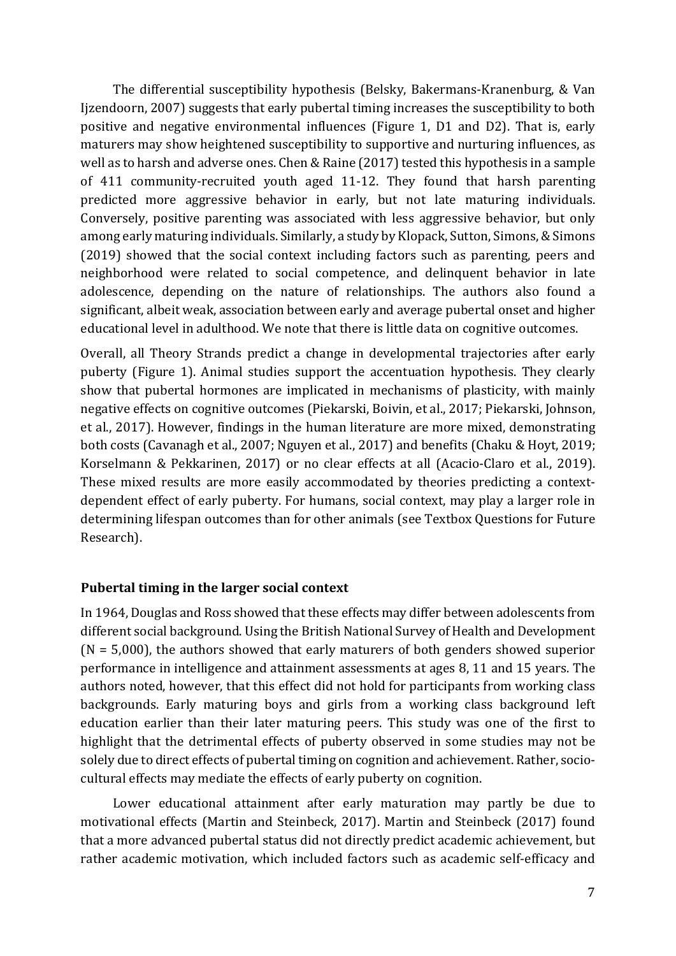The differential susceptibility hypothesis (Belsky, Bakermans-Kranenburg, & Van Ijzendoorn, 2007) suggests that early pubertal timing increases the susceptibility to both positive and negative environmental influences (Figure 1, D1 and D2). That is, early maturers may show heightened susceptibility to supportive and nurturing influences, as well as to harsh and adverse ones. Chen & Raine  $(2017)$  tested this hypothesis in a sample of 411 community-recruited youth aged 11-12. They found that harsh parenting predicted more aggressive behavior in early, but not late maturing individuals. Conversely, positive parenting was associated with less aggressive behavior, but only among early maturing individuals. Similarly, a study by Klopack, Sutton, Simons, & Simons  $(2019)$  showed that the social context including factors such as parenting, peers and neighborhood were related to social competence, and delinquent behavior in late adolescence, depending on the nature of relationships. The authors also found a significant, albeit weak, association between early and average pubertal onset and higher educational level in adulthood. We note that there is little data on cognitive outcomes.

Overall, all Theory Strands predict a change in developmental trajectories after early puberty (Figure 1). Animal studies support the accentuation hypothesis. They clearly show that pubertal hormones are implicated in mechanisms of plasticity, with mainly negative effects on cognitive outcomes (Piekarski, Boivin, et al., 2017; Piekarski, Johnson, et al., 2017). However, findings in the human literature are more mixed, demonstrating both costs (Cavanagh et al., 2007; Nguyen et al., 2017) and benefits (Chaku & Hoyt, 2019; Korselmann & Pekkarinen, 2017) or no clear effects at all (Acacio-Claro et al., 2019). These mixed results are more easily accommodated by theories predicting a contextdependent effect of early puberty. For humans, social context, may play a larger role in determining lifespan outcomes than for other animals (see Textbox Questions for Future Research).

### Pubertal timing in the larger social context

In 1964, Douglas and Ross showed that these effects may differ between adolescents from different social background. Using the British National Survey of Health and Development  $(N = 5,000)$ , the authors showed that early maturers of both genders showed superior performance in intelligence and attainment assessments at ages 8, 11 and 15 years. The authors noted, however, that this effect did not hold for participants from working class backgrounds. Early maturing boys and girls from a working class background left education earlier than their later maturing peers. This study was one of the first to highlight that the detrimental effects of puberty observed in some studies may not be solely due to direct effects of pubertal timing on cognition and achievement. Rather, sociocultural effects may mediate the effects of early puberty on cognition.

Lower educational attainment after early maturation may partly be due to motivational effects (Martin and Steinbeck, 2017). Martin and Steinbeck (2017) found that a more advanced pubertal status did not directly predict academic achievement, but rather academic motivation, which included factors such as academic self-efficacy and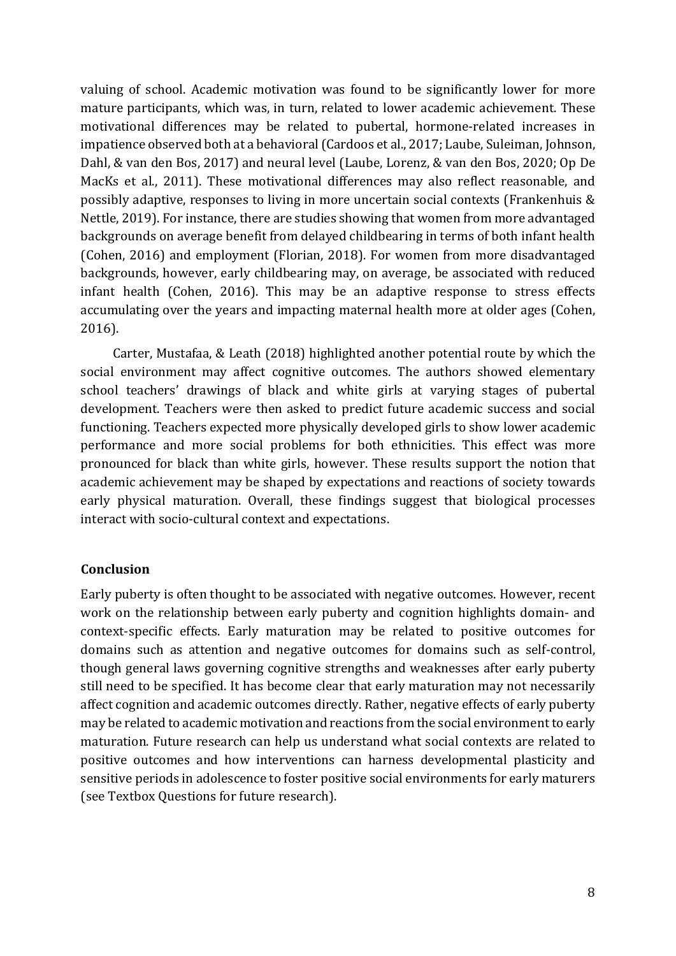valuing of school. Academic motivation was found to be significantly lower for more mature participants, which was, in turn, related to lower academic achievement. These motivational differences may be related to pubertal, hormone-related increases in impatience observed both at a behavioral (Cardoos et al., 2017; Laube, Suleiman, Johnson, Dahl, & van den Bos, 2017) and neural level (Laube, Lorenz, & van den Bos, 2020; Op De MacKs et al., 2011). These motivational differences may also reflect reasonable, and possibly adaptive, responses to living in more uncertain social contexts (Frankenhuis & Nettle, 2019). For instance, there are studies showing that women from more advantaged backgrounds on average benefit from delayed childbearing in terms of both infant health (Cohen, 2016) and employment (Florian, 2018). For women from more disadvantaged backgrounds, however, early childbearing may, on average, be associated with reduced infant health (Cohen, 2016). This may be an adaptive response to stress effects accumulating over the years and impacting maternal health more at older ages (Cohen, 2016).

Carter, Mustafaa, & Leath (2018) highlighted another potential route by which the social environment may affect cognitive outcomes. The authors showed elementary school teachers' drawings of black and white girls at varying stages of pubertal development. Teachers were then asked to predict future academic success and social functioning. Teachers expected more physically developed girls to show lower academic performance and more social problems for both ethnicities. This effect was more pronounced for black than white girls, however. These results support the notion that academic achievement may be shaped by expectations and reactions of society towards early physical maturation. Overall, these findings suggest that biological processes interact with socio-cultural context and expectations.

### **Conclusion**

Early puberty is often thought to be associated with negative outcomes. However, recent work on the relationship between early puberty and cognition highlights domain- and context-specific effects. Early maturation may be related to positive outcomes for domains such as attention and negative outcomes for domains such as self-control, though general laws governing cognitive strengths and weaknesses after early puberty still need to be specified. It has become clear that early maturation may not necessarily affect cognition and academic outcomes directly. Rather, negative effects of early puberty may be related to academic motivation and reactions from the social environment to early maturation. Future research can help us understand what social contexts are related to positive outcomes and how interventions can harness developmental plasticity and sensitive periods in adolescence to foster positive social environments for early maturers (see Textbox Questions for future research).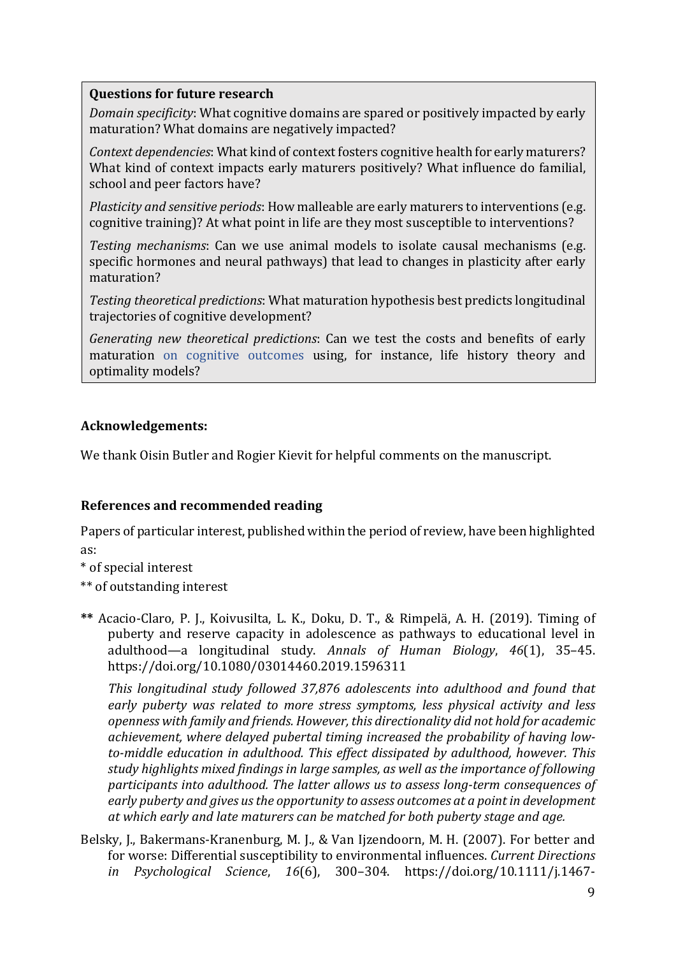### **Questions for future research**

*Domain specificity*: What cognitive domains are spared or positively impacted by early maturation? What domains are negatively impacted?

*Context dependencies*: What kind of context fosters cognitive health for early maturers? What kind of context impacts early maturers positively? What influence do familial, school and peer factors have?

*Plasticity and sensitive periods*: How malleable are early maturers to interventions (e.g. cognitive training)? At what point in life are they most susceptible to interventions?

*Testing mechanisms*: Can we use animal models to isolate causal mechanisms (e.g. specific hormones and neural pathways) that lead to changes in plasticity after early maturation?

Testing theoretical predictions: What maturation hypothesis best predicts longitudinal trajectories of cognitive development?

*Generating new theoretical predictions:* Can we test the costs and benefits of early maturation on cognitive outcomes using, for instance, life history theory and optimality models?

# **Acknowledgements:**

We thank Oisin Butler and Rogier Kievit for helpful comments on the manuscript.

# **References and recommended reading**

Papers of particular interest, published within the period of review, have been highlighted as:

\* of special interest

\*\* of outstanding interest

**\*\*** Acacio-Claro, P. J., Koivusilta, L. K., Doku, D. T., & Rimpelä, A. H. (2019). Timing of puberty and reserve capacity in adolescence as pathways to educational level in adulthood—a longitudinal study. *Annals of Human Biology*, *46*(1), 35–45. https://doi.org/10.1080/03014460.2019.1596311

*This longitudinal study followed 37,876 adolescents into adulthood and found that* early puberty was related to more stress symptoms, less physical activity and less openness with family and friends. However, this directionality did not hold for academic achievement, where delayed pubertal timing increased the probability of having lowto-middle education in adulthood. This effect dissipated by adulthood, however. This study highlights mixed findings in large samples, as well as the importance of following participants into adulthood. The latter allows us to assess long-term consequences of early puberty and gives us the opportunity to assess outcomes at a point in development at which early and late maturers can be matched for both puberty stage and age.

Belsky, J., Bakermans-Kranenburg, M. J., & Van Ijzendoorn, M. H. (2007). For better and for worse: Differential susceptibility to environmental influences. *Current Directions in Psychological Science*, *16*(6), 300–304. https://doi.org/10.1111/j.1467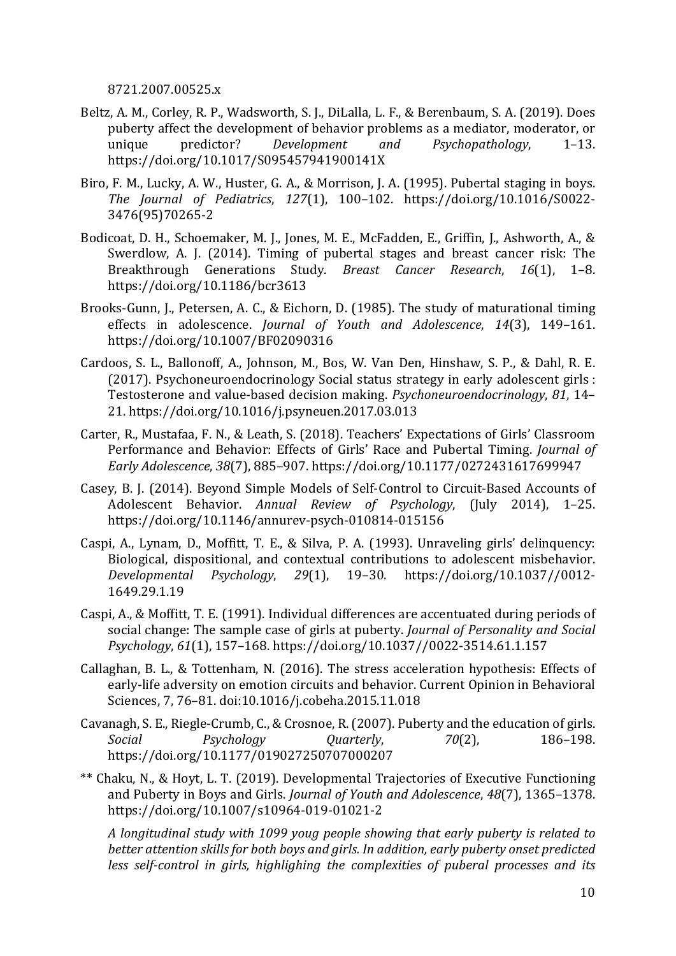8721.2007.00525.x

- Beltz, A. M., Corley, R. P., Wadsworth, S. J., DiLalla, L. F., & Berenbaum, S. A. (2019). Does puberty affect the development of behavior problems as a mediator, moderator, or unique predictor? *Development* and *Psychopathology*, 1–13. https://doi.org/10.1017/S095457941900141X
- Biro, F. M., Lucky, A. W., Huster, G. A., & Morrison, J. A. (1995). Pubertal staging in boys. *The Journal of Pediatrics*, *127*(1), 100–102. https://doi.org/10.1016/S0022- 3476(95)70265-2
- Bodicoat, D. H., Schoemaker, M. J., Jones, M. E., McFadden, E., Griffin, J., Ashworth, A., & Swerdlow, A. J. (2014). Timing of pubertal stages and breast cancer risk: The Breakthrough Generations Study. *Breast Cancer Research*, 16(1), 1–8. https://doi.org/10.1186/bcr3613
- Brooks-Gunn, J., Petersen, A. C., & Eichorn, D. (1985). The study of maturational timing effects in adolescence. *Journal of Youth and Adolescence*, 14(3), 149-161. https://doi.org/10.1007/BF02090316
- Cardoos, S. L., Ballonoff, A., Johnson, M., Bos, W. Van Den, Hinshaw, S. P., & Dahl, R. E. (2017). Psychoneuroendocrinology Social status strategy in early adolescent girls : Testosterone and value-based decision making. *Psychoneuroendocrinology*, 81, 14– 21. https://doi.org/10.1016/j.psyneuen.2017.03.013
- Carter, R., Mustafaa, F. N., & Leath, S. (2018). Teachers' Expectations of Girls' Classroom Performance and Behavior: Effects of Girls' Race and Pubertal Timing. *Journal of Early Adolescence*, *38*(7), 885–907. https://doi.org/10.1177/0272431617699947
- Casey, B. J. (2014). Beyond Simple Models of Self-Control to Circuit-Based Accounts of Adolescent Behavior. *Annual Review of Psychology*, (July 2014), 1-25. https://doi.org/10.1146/annurev-psych-010814-015156
- Caspi, A., Lynam, D., Moffitt, T. E., & Silva, P. A. (1993). Unraveling girls' delinquency: Biological, dispositional, and contextual contributions to adolescent misbehavior. *Developmental Psychology*, *29*(1), 19–30. https://doi.org/10.1037//0012- 1649.29.1.19
- Caspi, A., & Moffitt, T. E. (1991). Individual differences are accentuated during periods of social change: The sample case of girls at puberty. *Journal of Personality and Social Psychology*, *61*(1), 157–168. https://doi.org/10.1037//0022-3514.61.1.157
- Callaghan, B. L., & Tottenham, N. (2016). The stress acceleration hypothesis: Effects of early-life adversity on emotion circuits and behavior. Current Opinion in Behavioral Sciences, 7, 76-81. doi:10.1016/j.cobeha.2015.11.018
- Cavanagh, S. E., Riegle-Crumb, C., & Crosnoe, R. (2007). Puberty and the education of girls. *Social Psychology Quarterly*, *70*(2), 186–198. https://doi.org/10.1177/019027250707000207
- \*\* Chaku, N., & Hovt, L. T. (2019). Developmental Trajectories of Executive Functioning and Puberty in Boys and Girls. *Journal of Youth and Adolescence*, 48(7), 1365–1378. https://doi.org/10.1007/s10964-019-01021-2

*A* longitudinal study with 1099 youg people showing that early puberty is related to *better attention skills for both boys and girls. In addition, early puberty onset predicted* less self-control in girls, highlighing the complexities of puberal processes and its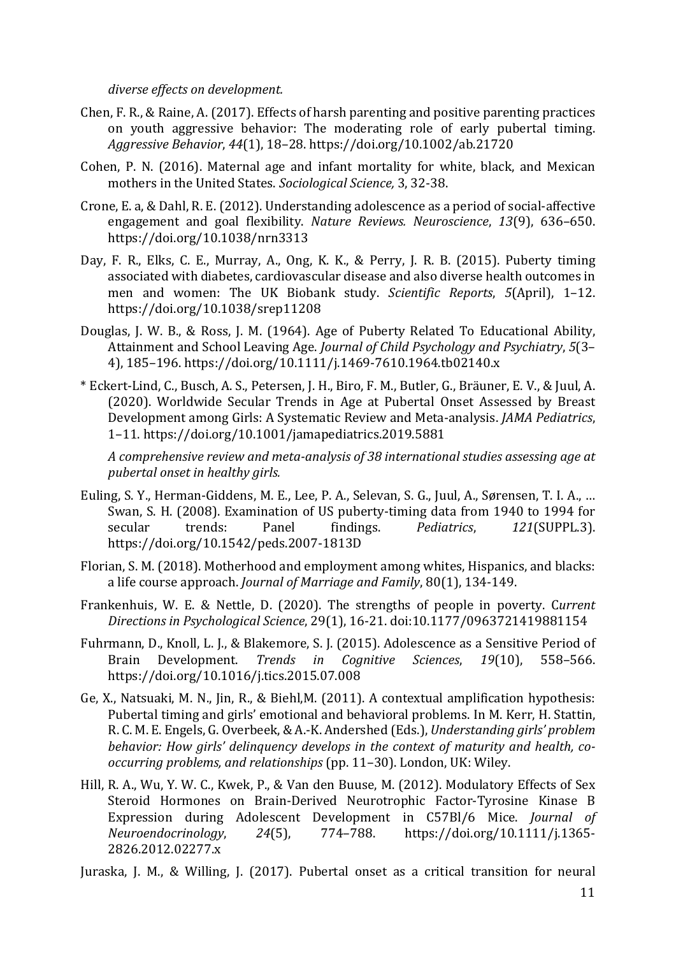*diverse effects on development.*

- Chen, F. R., & Raine, A. (2017). Effects of harsh parenting and positive parenting practices on youth aggressive behavior: The moderating role of early pubertal timing. *Aggressive Behavior*, *44*(1), 18–28. https://doi.org/10.1002/ab.21720
- Cohen, P. N. (2016). Maternal age and infant mortality for white, black, and Mexican mothers in the United States. *Sociological Science*, 3, 32-38.
- Crone, E. a, & Dahl, R. E. (2012). Understanding adolescence as a period of social-affective engagement and goal flexibility. *Nature Reviews. Neuroscience*, 13(9), 636-650. https://doi.org/10.1038/nrn3313
- Day, F. R., Elks, C. E., Murray, A., Ong, K. K., & Perry, J. R. B. (2015). Puberty timing associated with diabetes, cardiovascular disease and also diverse health outcomes in men and women: The UK Biobank study. *Scientific Reports*, 5(April), 1-12. https://doi.org/10.1038/srep11208
- Douglas, J. W. B., & Ross, J. M. (1964). Age of Puberty Related To Educational Ability, Attainment and School Leaving Age. *Journal of Child Psychology and Psychiatry*, 5(3– 4), 185–196. https://doi.org/10.1111/j.1469-7610.1964.tb02140.x
- \* Eckert-Lind, C., Busch, A. S., Petersen, J. H., Biro, F. M., Butler, G., Bräuner, E. V., & Juul, A. (2020). Worldwide Secular Trends in Age at Pubertal Onset Assessed by Breast Development among Girls: A Systematic Review and Meta-analysis. *JAMA Pediatrics*, 1–11. https://doi.org/10.1001/jamapediatrics.2019.5881

A comprehensive review and meta-analysis of 38 international studies assessing age at *pubertal onset in healthy girls.*

- Euling, S. Y., Herman-Giddens, M. E., Lee, P. A., Selevan, S. G., Juul, A., Sørensen, T. I. A., ... Swan, S. H. (2008). Examination of US puberty-timing data from 1940 to 1994 for secular trends: Panel findings. *Pediatrics*, 121(SUPPL.3). https://doi.org/10.1542/peds.2007-1813D
- Florian, S. M. (2018). Motherhood and employment among whites. Hispanics, and blacks: a life course approach. *Journal of Marriage and Family*, 80(1), 134-149.
- Frankenhuis, W. E. & Nettle, D. (2020). The strengths of people in poverty. Current *Directions in Psychological Science*, 29(1), 16-21. doi:10.1177/0963721419881154
- Fuhrmann, D., Knoll, L. J., & Blakemore, S. J. (2015). Adolescence as a Sensitive Period of Brain Development. *Trends in Cognitive Sciences*, 19(10), 558–566. https://doi.org/10.1016/j.tics.2015.07.008
- Ge, X., Natsuaki, M. N., Jin, R., & Biehl,M. (2011). A contextual amplification hypothesis: Pubertal timing and girls' emotional and behavioral problems. In M. Kerr, H. Stattin, R. C. M. E. Engels, G. Overbeek, & A.-K. Andershed (Eds.), *Understanding girls' problem* behavior: How girls' delinquency develops in the context of maturity and health, co*occurring problems, and relationships* (pp. 11–30). London, UK: Wiley.
- Hill, R. A., Wu, Y. W. C., Kwek, P., & Van den Buuse, M. (2012). Modulatory Effects of Sex Steroid Hormones on Brain-Derived Neurotrophic Factor-Tyrosine Kinase B Expression during Adolescent Development in C57Bl/6 Mice. *Journal of Neuroendocrinology*, *24*(5), 774–788. https://doi.org/10.1111/j.1365- 2826.2012.02277.x

Juraska, J. M., & Willing, J. (2017). Pubertal onset as a critical transition for neural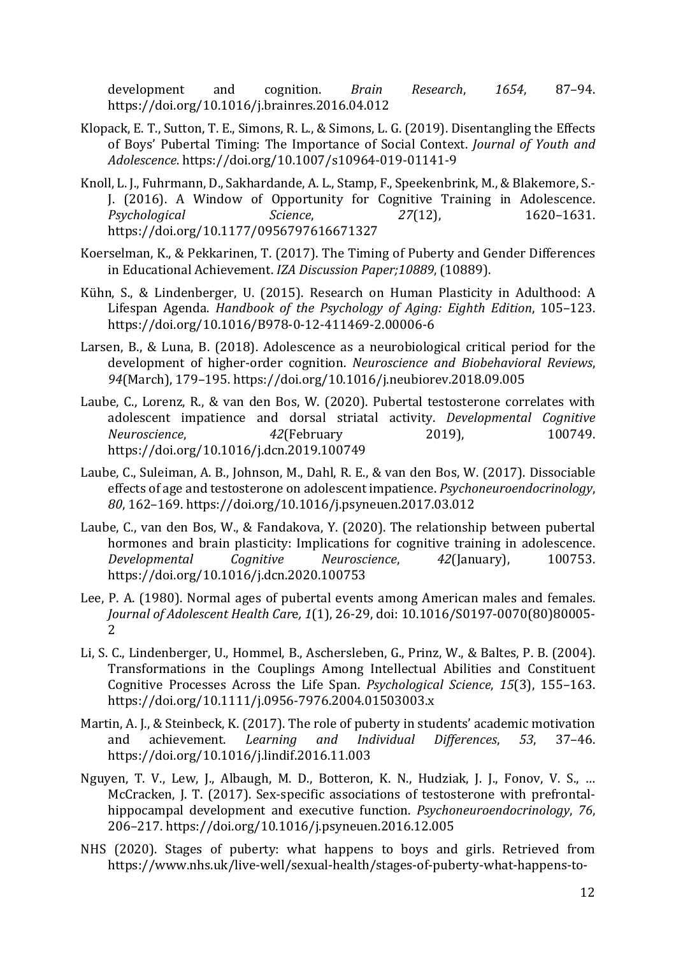development and cognition. *Brain Research*, *1654*, 87–94. https://doi.org/10.1016/j.brainres.2016.04.012

- Klopack, E. T., Sutton, T. E., Simons, R. L., & Simons, L. G. (2019). Disentangling the Effects of Boys' Pubertal Timing: The Importance of Social Context. *Journal of Youth and Adolescence*. https://doi.org/10.1007/s10964-019-01141-9
- Knoll, L. J., Fuhrmann, D., Sakhardande, A. L., Stamp, F., Speekenbrink, M., & Blakemore, S.-J. (2016). A Window of Opportunity for Cognitive Training in Adolescence. *Psychological Science*, *27*(12), 1620–1631. https://doi.org/10.1177/0956797616671327
- Koerselman, K., & Pekkarinen, T. (2017). The Timing of Puberty and Gender Differences in Educational Achievement. *IZA Discussion Paper;10889*, (10889).
- Kühn, S., & Lindenberger, U. (2015). Research on Human Plasticity in Adulthood: A Lifespan Agenda. *Handbook of the Psychology of Aging: Eighth Edition*, 105-123. https://doi.org/10.1016/B978-0-12-411469-2.00006-6
- Larsen, B., & Luna, B. (2018). Adolescence as a neurobiological critical period for the development of higher-order cognition. *Neuroscience and Biobehavioral Reviews*, 94(March), 179-195. https://doi.org/10.1016/j.neubiorev.2018.09.005
- Laube, C., Lorenz, R., & van den Bos, W. (2020). Pubertal testosterone correlates with adolescent impatience and dorsal striatal activity. *Developmental Cognitive Neuroscience*, 42<sup>(February 2019), 100749.</sup> https://doi.org/10.1016/j.dcn.2019.100749
- Laube, C., Suleiman, A. B., Johnson, M., Dahl, R. E., & van den Bos, W. (2017). Dissociable effects of age and testosterone on adolescent impatience. *Psychoneuroendocrinology*, 80, 162-169. https://doi.org/10.1016/j.psyneuen.2017.03.012
- Laube, C., van den Bos, W., & Fandakova, Y. (2020). The relationship between pubertal hormones and brain plasticity: Implications for cognitive training in adolescence. *Developmental Cognitive Neuroscience*, *42*(January), 100753. https://doi.org/10.1016/j.dcn.2020.100753
- Lee, P. A. (1980). Normal ages of pubertal events among American males and females. *Journal of Adolescent Health Care, 1(1), 26-29, doi: 10.1016/S0197-0070(80)80005-*2
- Li, S. C., Lindenberger, U., Hommel, B., Aschersleben, G., Prinz, W., & Baltes, P. B. (2004). Transformations in the Couplings Among Intellectual Abilities and Constituent Cognitive Processes Across the Life Span. *Psychological Science*, 15(3), 155–163. https://doi.org/10.1111/j.0956-7976.2004.01503003.x
- Martin, A. J., & Steinbeck, K. (2017). The role of puberty in students' academic motivation and achievement. *Learning and Individual Differences*, 53, 37–46. https://doi.org/10.1016/j.lindif.2016.11.003
- Nguyen, T. V., Lew, J., Albaugh, M. D., Botteron, K. N., Hudziak, J. J., Fonov, V. S., ... McCracken, J. T. (2017). Sex-specific associations of testosterone with prefrontalhippocampal development and executive function. *Psychoneuroendocrinology*, 76, 206–217. https://doi.org/10.1016/j.psyneuen.2016.12.005
- NHS (2020). Stages of puberty: what happens to boys and girls. Retrieved from https://www.nhs.uk/live-well/sexual-health/stages-of-puberty-what-happens-to-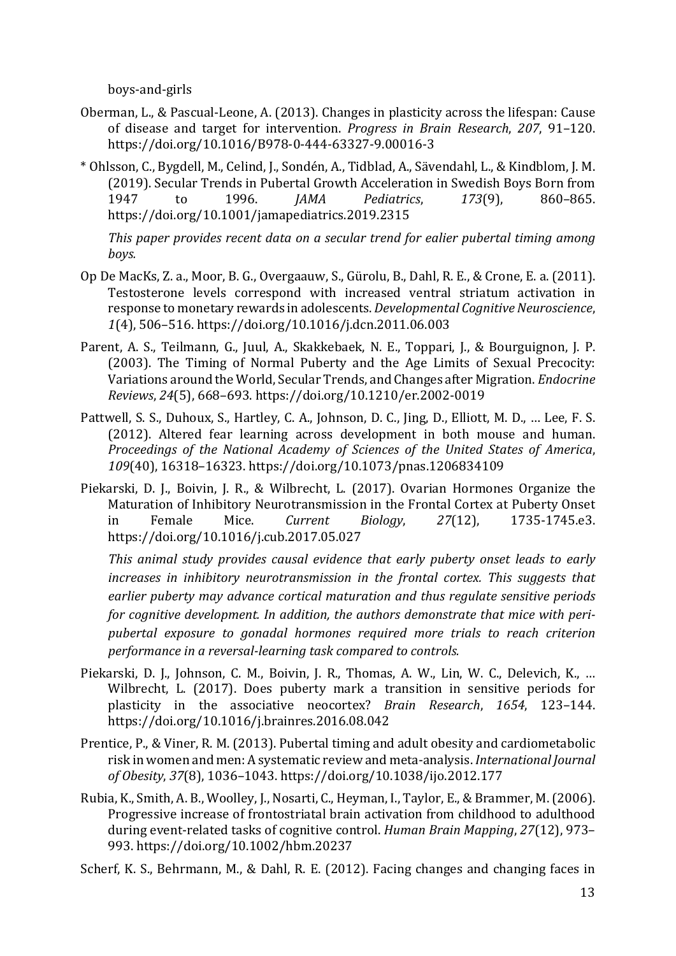boys-and-girls

- Oberman, L., & Pascual-Leone, A. (2013). Changes in plasticity across the lifespan: Cause of disease and target for intervention. *Progress in Brain Research*, 207, 91-120. https://doi.org/10.1016/B978-0-444-63327-9.00016-3
- \* Ohlsson, C., Bygdell, M., Celind, J., Sondén, A., Tidblad, A., Sävendahl, L., & Kindblom, J. M. (2019). Secular Trends in Pubertal Growth Acceleration in Swedish Boys Born from 1947 to 1996. *JAMA Pediatrics*, *173*(9), 860–865. https://doi.org/10.1001/jamapediatrics.2019.2315

This paper provides recent data on a secular trend for ealier pubertal timing among *boys.* 

- Op De MacKs, Z. a., Moor, B. G., Overgaauw, S., Gürolu, B., Dahl, R. E., & Crone, E. a. (2011). Testosterone levels correspond with increased ventral striatum activation in response to monetary rewards in adolescents. *Developmental Cognitive Neuroscience*, *1*(4), 506–516. https://doi.org/10.1016/j.dcn.2011.06.003
- Parent, A. S., Teilmann, G., Juul, A., Skakkebaek, N. E., Toppari, J., & Bourguignon, J. P. (2003). The Timing of Normal Puberty and the Age Limits of Sexual Precocity: Variations around the World, Secular Trends, and Changes after Migration. *Endocrine Reviews*, *24*(5), 668–693. https://doi.org/10.1210/er.2002-0019
- Pattwell, S. S., Duhoux, S., Hartley, C. A., Johnson, D. C., Jing, D., Elliott, M. D., ... Lee, F. S. (2012). Altered fear learning across development in both mouse and human. Proceedings of the National Academy of Sciences of the United States of America, 109(40), 16318-16323. https://doi.org/10.1073/pnas.1206834109
- Piekarski, D. J., Boivin, J. R., & Wilbrecht, L. (2017). Ovarian Hormones Organize the Maturation of Inhibitory Neurotransmission in the Frontal Cortex at Puberty Onset in Female Mice. *Current Biology*, 27(12), 1735-1745.e3. https://doi.org/10.1016/j.cub.2017.05.027

*This* animal study provides causal evidence that early puberty onset leads to early *increases in inhibitory neurotransmission in the frontal cortex. This suggests that* earlier puberty may advance cortical maturation and thus regulate sensitive periods *for cognitive development. In addition, the authors demonstrate that mice with peri*pubertal exposure to gonadal hormones required more trials to reach criterion *performance in a reversal-learning task compared to controls.* 

- Piekarski, D. J., Johnson, C. M., Boivin, J. R., Thomas, A. W., Lin, W. C., Delevich, K., ... Wilbrecht, L. (2017). Does puberty mark a transition in sensitive periods for plasticity in the associative neocortex? *Brain Research*, *1654*, 123–144. https://doi.org/10.1016/j.brainres.2016.08.042
- Prentice, P., & Viner, R. M. (2013). Pubertal timing and adult obesity and cardiometabolic risk in women and men: A systematic review and meta-analysis. *International Journal of Obesity*, *37*(8), 1036–1043. https://doi.org/10.1038/ijo.2012.177
- Rubia, K., Smith, A. B., Woolley, J., Nosarti, C., Heyman, I., Taylor, E., & Brammer, M. (2006). Progressive increase of frontostriatal brain activation from childhood to adulthood during event-related tasks of cognitive control. *Human Brain Mapping*, 27(12), 973– 993. https://doi.org/10.1002/hbm.20237

Scherf, K. S., Behrmann, M., & Dahl, R. E. (2012). Facing changes and changing faces in